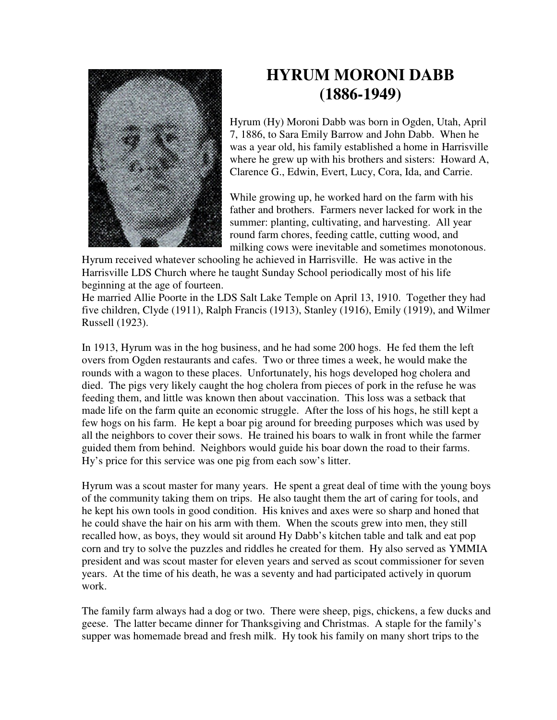

## **HYRUM MORONI DABB (1886-1949)**

Hyrum (Hy) Moroni Dabb was born in Ogden, Utah, April 7, 1886, to Sara Emily Barrow and John Dabb. When he was a year old, his family established a home in Harrisville where he grew up with his brothers and sisters: Howard A, Clarence G., Edwin, Evert, Lucy, Cora, Ida, and Carrie.

While growing up, he worked hard on the farm with his father and brothers. Farmers never lacked for work in the summer: planting, cultivating, and harvesting. All year round farm chores, feeding cattle, cutting wood, and milking cows were inevitable and sometimes monotonous.

Hyrum received whatever schooling he achieved in Harrisville. He was active in the Harrisville LDS Church where he taught Sunday School periodically most of his life beginning at the age of fourteen.

He married Allie Poorte in the LDS Salt Lake Temple on April 13, 1910. Together they had five children, Clyde (1911), Ralph Francis (1913), Stanley (1916), Emily (1919), and Wilmer Russell (1923).

In 1913, Hyrum was in the hog business, and he had some 200 hogs. He fed them the left overs from Ogden restaurants and cafes. Two or three times a week, he would make the rounds with a wagon to these places. Unfortunately, his hogs developed hog cholera and died. The pigs very likely caught the hog cholera from pieces of pork in the refuse he was feeding them, and little was known then about vaccination. This loss was a setback that made life on the farm quite an economic struggle. After the loss of his hogs, he still kept a few hogs on his farm. He kept a boar pig around for breeding purposes which was used by all the neighbors to cover their sows. He trained his boars to walk in front while the farmer guided them from behind. Neighbors would guide his boar down the road to their farms. Hy's price for this service was one pig from each sow's litter.

Hyrum was a scout master for many years. He spent a great deal of time with the young boys of the community taking them on trips. He also taught them the art of caring for tools, and he kept his own tools in good condition. His knives and axes were so sharp and honed that he could shave the hair on his arm with them. When the scouts grew into men, they still recalled how, as boys, they would sit around Hy Dabb's kitchen table and talk and eat pop corn and try to solve the puzzles and riddles he created for them. Hy also served as YMMIA president and was scout master for eleven years and served as scout commissioner for seven years. At the time of his death, he was a seventy and had participated actively in quorum work.

The family farm always had a dog or two. There were sheep, pigs, chickens, a few ducks and geese. The latter became dinner for Thanksgiving and Christmas. A staple for the family's supper was homemade bread and fresh milk. Hy took his family on many short trips to the